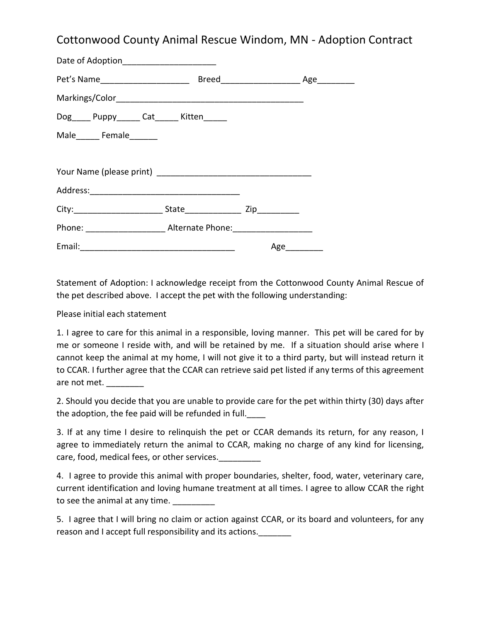## Cottonwood County Animal Rescue Windom, MN - Adoption Contract

| Date of Adoption______________________      |     |  |
|---------------------------------------------|-----|--|
|                                             |     |  |
|                                             |     |  |
| Dog_____ Puppy______ Cat______ Kitten______ |     |  |
| Male________ Female________                 |     |  |
|                                             |     |  |
|                                             |     |  |
|                                             |     |  |
|                                             |     |  |
|                                             |     |  |
|                                             | Age |  |

Statement of Adoption: I acknowledge receipt from the Cottonwood County Animal Rescue of the pet described above. I accept the pet with the following understanding:

Please initial each statement

1. I agree to care for this animal in a responsible, loving manner. This pet will be cared for by me or someone I reside with, and will be retained by me. If a situation should arise where I cannot keep the animal at my home, I will not give it to a third party, but will instead return it to CCAR. I further agree that the CCAR can retrieve said pet listed if any terms of this agreement are not met.

2. Should you decide that you are unable to provide care for the pet within thirty (30) days after the adoption, the fee paid will be refunded in full.

3. If at any time I desire to relinquish the pet or CCAR demands its return, for any reason, I agree to immediately return the animal to CCAR, making no charge of any kind for licensing, care, food, medical fees, or other services.

4. I agree to provide this animal with proper boundaries, shelter, food, water, veterinary care, current identification and loving humane treatment at all times. I agree to allow CCAR the right to see the animal at any time.

5. I agree that I will bring no claim or action against CCAR, or its board and volunteers, for any reason and I accept full responsibility and its actions.